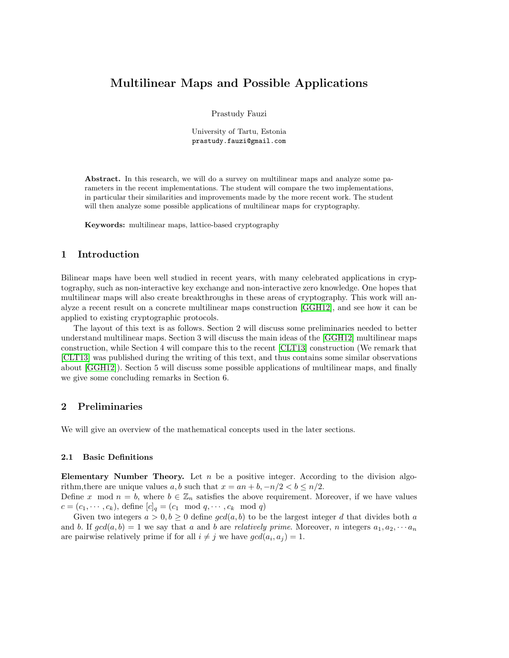# Multilinear Maps and Possible Applications

Prastudy Fauzi

University of Tartu, Estonia prastudy.fauzi@gmail.com

Abstract. In this research, we will do a survey on multilinear maps and analyze some parameters in the recent implementations. The student will compare the two implementations, in particular their similarities and improvements made by the more recent work. The student will then analyze some possible applications of multilinear maps for cryptography.

Keywords: multilinear maps, lattice-based cryptography

# 1 Introduction

Bilinear maps have been well studied in recent years, with many celebrated applications in cryptography, such as non-interactive key exchange and non-interactive zero knowledge. One hopes that multilinear maps will also create breakthroughs in these areas of cryptography. This work will analyze a recent result on a concrete multilinear maps construction [\[GGH12\]](#page-8-0), and see how it can be applied to existing cryptographic protocols.

The layout of this text is as follows. Section 2 will discuss some preliminaries needed to better understand multilinear maps. Section 3 will discuss the main ideas of the [\[GGH12\]](#page-8-0) multilinear maps construction, while Section 4 will compare this to the recent [\[CLT13\]](#page-8-1) construction (We remark that [\[CLT13\]](#page-8-1) was published during the writing of this text, and thus contains some similar observations about [\[GGH12\]](#page-8-0)). Section 5 will discuss some possible applications of multilinear maps, and finally we give some concluding remarks in Section 6.

# 2 Preliminaries

We will give an overview of the mathematical concepts used in the later sections.

## 2.1 Basic Definitions

Elementary Number Theory. Let  $n$  be a positive integer. According to the division algorithm, there are unique values a, b such that  $x = an + b$ ,  $-n/2 < b \leq n/2$ .

Define x mod  $n = b$ , where  $b \in \mathbb{Z}_n$  satisfies the above requirement. Moreover, if we have values  $c = (c_1, \dots, c_k)$ , define  $[c]_q = (c_1 \mod q, \dots, c_k \mod q)$ 

Given two integers  $a > 0, b \ge 0$  define  $gcd(a, b)$  to be the largest integer d that divides both a and b. If  $gcd(a, b) = 1$  we say that a and b are relatively prime. Moreover, n integers  $a_1, a_2, \cdots a_n$ are pairwise relatively prime if for all  $i \neq j$  we have  $gcd(a_i, a_j) = 1$ .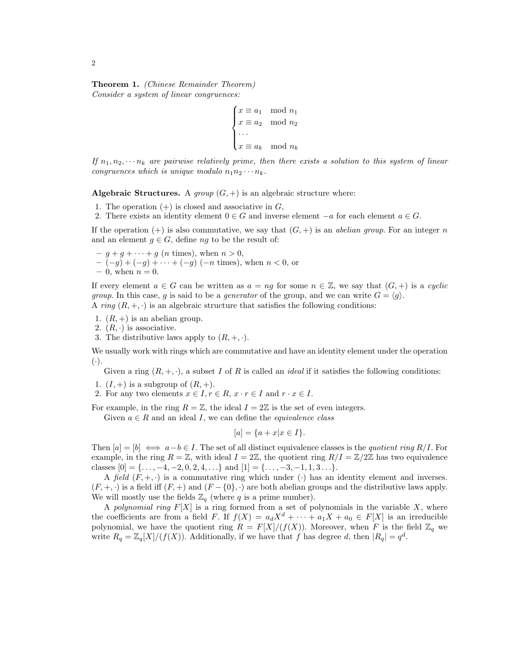Theorem 1. (Chinese Remainder Theorem) Consider a system of linear congruences:

$$
\begin{cases} x \equiv a_1 \mod n_1 \\ x \equiv a_2 \mod n_2 \\ \cdots \\ x \equiv a_k \mod n_k \end{cases}
$$

If  $n_1, n_2, \dots, n_k$  are pairwise relatively prime, then there exists a solution to this system of linear congruences which is unique modulo  $n_1 n_2 \cdots n_k$ .

Algebraic Structures. A group  $(G,+)$  is an algebraic structure where:

- 1. The operation  $(+)$  is closed and associative in  $G$ ,
- 2. There exists an identity element  $0 \in G$  and inverse element  $-a$  for each element  $a \in G$ .

If the operation  $(+)$  is also commutative, we say that  $(G,+)$  is an *abelian group*. For an integer n and an element  $q \in G$ , define nq to be the result of:

 $-g + g + \cdots + g$  (*n* times), when  $n > 0$ ,  $-(-g) + (-g) + \cdots + (-g)$  (-n times), when  $n < 0$ , or  $-0$ , when  $n = 0$ .

If every element  $a \in G$  can be written as  $a = ng$  for some  $n \in \mathbb{Z}$ , we say that  $(G, +)$  is a *cyclic group.* In this case, g is said to be a *generator* of the group, and we can write  $G = \langle g \rangle$ . A ring  $(R, +, \cdot)$  is an algebraic structure that satisfies the following conditions:

- 
- 1.  $(R, +)$  is an abelian group.
- 2.  $(R, \cdot)$  is associative.
- 3. The distributive laws apply to  $(R, +, \cdot)$ .

We usually work with rings which are commutative and have an identity element under the operation  $(\cdot).$ 

Given a ring  $(R, +, \cdot)$ , a subset I of R is called an *ideal* if it satisfies the following conditions:

- 1.  $(I,+)$  is a subgroup of  $(R,+)$ .
- 2. For any two elements  $x \in I, r \in R, x \cdot r \in I$  and  $r \cdot x \in I$ .

For example, in the ring  $R = \mathbb{Z}$ , the ideal  $I = 2\mathbb{Z}$  is the set of even integers.

Given  $a \in R$  and an ideal I, we can define the *equivalence class* 

$$
[a] = \{a + x | x \in I\}.
$$

Then  $[a] = [b] \iff a-b \in I$ . The set of all distinct equivalence classes is the quotient ring R/I. For example, in the ring  $R = \mathbb{Z}$ , with ideal  $I = 2\mathbb{Z}$ , the quotient ring  $R/I = \mathbb{Z}/2\mathbb{Z}$  has two equivalence classes  $[0] = \{ \ldots, -4, -2, 0, 2, 4, \ldots \}$  and  $[1] = \{ \ldots, -3, -1, 1, 3 \ldots \}.$ 

A field  $(F, +, \cdot)$  is a commutative ring which under  $(\cdot)$  has an identity element and inverses.  $(F, +, \cdot)$  is a field iff  $(F, +)$  and  $(F - \{0\}, \cdot)$  are both abelian groups and the distributive laws apply. We will mostly use the fields  $\mathbb{Z}_q$  (where q is a prime number).

A polynomial ring  $F[X]$  is a ring formed from a set of polynomials in the variable X, where the coefficients are from a field F. If  $f(X) = a_d X^d + \cdots + a_1 X + a_0 \in F[X]$  is an irreducible polynomial, we have the quotient ring  $R = F[X]/(f(X))$ . Moreover, when F is the field  $\mathbb{Z}_q$  we write  $R_q = \mathbb{Z}_q[X]/(f(X))$ . Additionally, if we have that f has degree d, then  $|R_q| = q^d$ .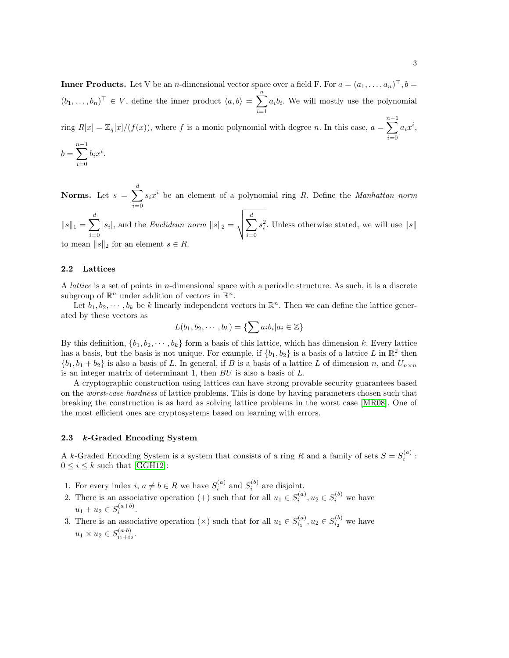**Inner Products.** Let V be an *n*-dimensional vector space over a field F. For  $a = (a_1, \ldots, a_n)^\top$ ,  $b =$  $(b_1, \ldots, b_n)^\top \in V$ , define the inner product  $\langle a, b \rangle = \sum_{n=1}^{\infty}$  $i=1$  $a_i b_i$ . We will mostly use the polynomial

ring  $R[x] = \mathbb{Z}_q[x]/(f(x))$ , where f is a monic polynomial with degree n. In this case,  $a = \sum_{n=1}^{n-1}$  $i=0$  $a_ix^i,$ 

$$
b = \sum_{i=0}^{n-1} b_i x^i
$$

.

Norms. Let  $s = \sum_{i=1}^{d} s_i$  $i=0$  $s_i x^i$  be an element of a polynomial ring R. Define the *Manhattan norm*  $||s||_1 = \sum^d$ |s<sub>i</sub>|, and the *Euclidean norm*  $||s||_2 = \sqrt{\sum_{i=1}^{d} s_i^2}$ 

 $i=0$  $i=0$  $s_i^2$ . Unless otherwise stated, we will use  $||s||$ to mean  $||s||_2$  for an element  $s \in R$ .

### 2.2 Lattices

A *lattice* is a set of points in *n*-dimensional space with a periodic structure. As such, it is a discrete subgroup of  $\mathbb{R}^n$  under addition of vectors in  $\mathbb{R}^n$ .

Let  $b_1, b_2, \dots, b_k$  be k linearly independent vectors in  $\mathbb{R}^n$ . Then we can define the lattice generated by these vectors as

$$
L(b_1, b_2, \cdots, b_k) = \{ \sum a_i b_i | a_i \in \mathbb{Z} \}
$$

By this definition,  $\{b_1, b_2, \dots, b_k\}$  form a basis of this lattice, which has dimension k. Every lattice has a basis, but the basis is not unique. For example, if  $\{b_1, b_2\}$  is a basis of a lattice L in  $\mathbb{R}^2$  then  ${b_1, b_1 + b_2}$  is also a basis of L. In general, if B is a basis of a lattice L of dimension n, and  $U_{n \times n}$ is an integer matrix of determinant 1, then BU is also a basis of L.

A cryptographic construction using lattices can have strong provable security guarantees based on the worst-case hardness of lattice problems. This is done by having parameters chosen such that breaking the construction is as hard as solving lattice problems in the worst case [\[MR08\]](#page-8-2). One of the most efficient ones are cryptosystems based on learning with errors.

#### 2.3 k-Graded Encoding System

A k-Graded Encoding System is a system that consists of a ring R and a family of sets  $S = S_i^{(a)}$ :  $0 \leq i \leq k$  such that [\[GGH12\]](#page-8-0):

- 1. For every index  $i, a \neq b \in R$  we have  $S_i^{(a)}$  and  $S_i^{(b)}$  are disjoint.
- 2. There is an associative operation (+) such that for all  $u_1 \in S_i^{(a)}$ ,  $u_2 \in S_i^{(b)}$  we have  $u_1 + u_2 \in S_i^{(a+b)}$ .
- 3. There is an associative operation  $(\times)$  such that for all  $u_1 \in S_{i_1}^{(a)}$ ,  $u_2 \in S_{i_2}^{(b)}$  we have  $u_1 \times u_2 \in S_{i_1 + i_2}^{(a \cdot b)}$  $\frac{(a \cdot b)}{i_1+i_2}$ .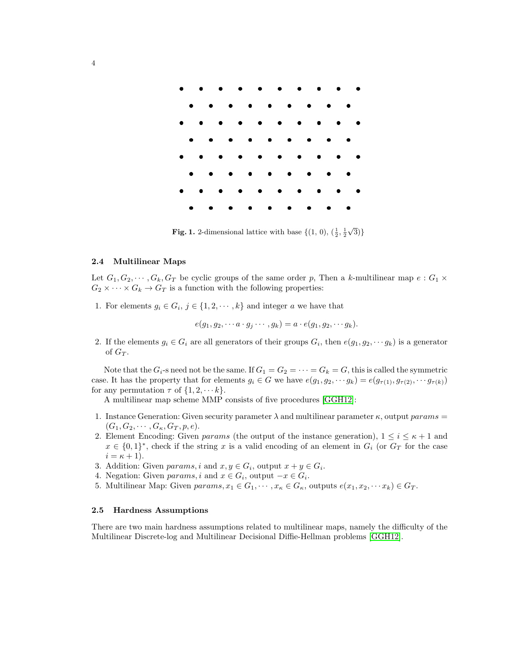

**Fig. 1.** 2-dimensional lattice with base  $\{(1, 0), (\frac{1}{2}, \frac{1}{2})\}$  $\sqrt{3})\}$ 

#### 2.4 Multilinear Maps

Let  $G_1, G_2, \cdots, G_k, G_T$  be cyclic groups of the same order p, Then a k-multilinear map  $e : G_1 \times$  $G_2 \times \cdots \times G_k \to G_T$  is a function with the following properties:

1. For elements  $g_i \in G_i$ ,  $j \in \{1, 2, \dots, k\}$  and integer a we have that

$$
e(g_1,g_2,\cdots a\cdot g_j\cdots,g_k)=a\cdot e(g_1,g_2,\cdots g_k).
$$

2. If the elements  $g_i \in G_i$  are all generators of their groups  $G_i$ , then  $e(g_1, g_2, \dots g_k)$  is a generator of  $G_T$ .

Note that the  $G_i$ -s need not be the same. If  $G_1 = G_2 = \cdots = G_k = G$ , this is called the symmetric case. It has the property that for elements  $g_i \in G$  we have  $e(g_1, g_2, \dots g_k) = e(g_{\tau(1)}, g_{\tau(2)}, \dots g_{\tau(k)})$ for any permutation  $\tau$  of  $\{1, 2, \dots k\}.$ 

A multilinear map scheme MMP consists of five procedures [\[GGH12\]](#page-8-0):

- 1. Instance Generation: Given security parameter  $\lambda$  and multilinear parameter  $\kappa$ , output params =  $(G_1, G_2, \cdots, G_{\kappa}, G_T, p, e).$
- 2. Element Encoding: Given params (the output of the instance generation),  $1 \leq i \leq \kappa + 1$  and  $x \in \{0,1\}^*$ , check if the string x is a valid encoding of an element in  $G_i$  (or  $G_T$  for the case  $i = \kappa + 1$ .
- 3. Addition: Given params, i and  $x, y \in G_i$ , output  $x + y \in G_i$ .
- 4. Negation: Given  $params, i$  and  $x \in G_i$ , output  $-x \in G_i$ .
- 5. Multilinear Map: Given  $params, x_1 \in G_1, \dots, x_\kappa \in G_\kappa$ , outputs  $e(x_1, x_2, \dots, x_k) \in G_T$ .

## 2.5 Hardness Assumptions

There are two main hardness assumptions related to multilinear maps, namely the difficulty of the Multilinear Discrete-log and Multilinear Decisional Diffie-Hellman problems [\[GGH12\]](#page-8-0).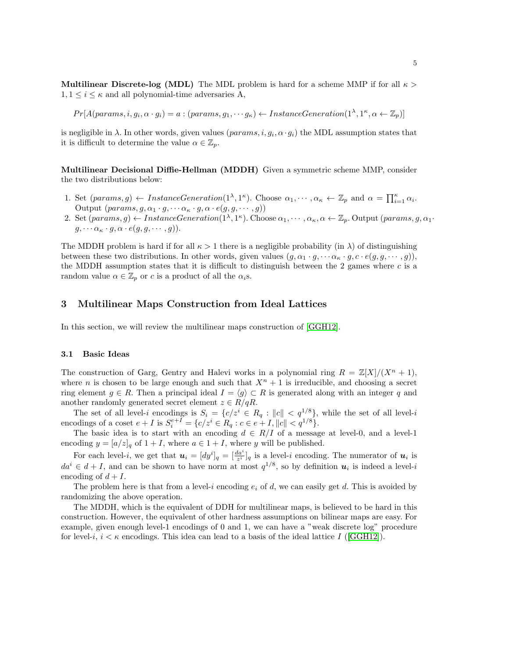**Multilinear Discrete-log (MDL)** The MDL problem is hard for a scheme MMP if for all  $\kappa$  $1, 1 \leq i \leq \kappa$  and all polynomial-time adversaries A,

 $Pr[A(params, i, g_i, \alpha \cdot g_i) = a : (params, g_1, \cdots g_{\kappa}) \leftarrow InstanteGeneration(1^{\lambda}, 1^{\kappa}, \alpha \leftarrow \mathbb{Z}_p)]$ 

is negligible in  $\lambda$ . In other words, given values  $(params, i, g_i, \alpha \cdot g_i)$  the MDL assumption states that it is difficult to determine the value  $\alpha \in \mathbb{Z}_p$ .

Multilinear Decisional Diffie-Hellman (MDDH) Given a symmetric scheme MMP, consider the two distributions below:

- 1. Set  ${\text{parameters}}(g) \leftarrow \text{InstanceGeneration}(1^{\lambda}, 1^{\kappa})$ . Choose  $\alpha_1, \dots, \alpha_{\kappa} \leftarrow \mathbb{Z}_p$  and  $\alpha = \prod_{i=1}^{\kappa} \alpha_i$ . Output  $(\text{params}, g, \alpha_1 \cdot g, \dots \alpha_{\kappa} \cdot g, \alpha \cdot e(g, g, \dots, g))$
- 2. Set  $(\text{params}, g) \leftarrow \text{InstanceGeneration}(1^{\lambda}, 1^{\kappa})$ . Choose  $\alpha_1, \dots, \alpha_{\kappa}, \alpha \leftarrow \mathbb{Z}_p$ . Output  $(\text{params}, g, \alpha_1 \cdot \dots \cdot, \alpha_{\kappa})$  $g, \cdots \alpha_{\kappa} \cdot g, \alpha \cdot e(g, g, \cdots, g)).$

The MDDH problem is hard if for all  $\kappa > 1$  there is a negligible probability (in  $\lambda$ ) of distinguishing between these two distributions. In other words, given values  $(q, \alpha_1 \cdot q, \dots \alpha_k \cdot q, c \cdot e(q, q, \dots, q))$ , the MDDH assumption states that it is difficult to distinguish between the 2 games where c is a random value  $\alpha \in \mathbb{Z}_p$  or c is a product of all the  $\alpha_i$ s.

# 3 Multilinear Maps Construction from Ideal Lattices

In this section, we will review the multilinear maps construction of [\[GGH12\]](#page-8-0).

#### 3.1 Basic Ideas

The construction of Garg, Gentry and Halevi works in a polynomial ring  $R = \mathbb{Z}[X]/(X^n + 1)$ , where n is chosen to be large enough and such that  $X^n + 1$  is irreducible, and choosing a secret ring element  $g \in R$ . Then a principal ideal  $I = \langle g \rangle \subset R$  is generated along with an integer q and another randomly generated secret element  $z \in R/qR$ .

The set of all level-i encodings is  $S_i = \{c/z^i \in R_q : ||c|| < q^{1/8}\}\$ , while the set of all level-i encodings of a coset  $e + I$  is  $S_i^{e+I} = \{c/z^i \in R_q : c \in e + I, ||c|| < q^{1/8}\}.$ 

The basic idea is to start with an encoding  $d \in R/I$  of a message at level-0, and a level-1 encoding  $y = [a/z]_q$  of  $1 + I$ , where  $a \in 1 + I$ , where y will be published.

For each level-*i*, we get that  $u_i = [dy^i]_q = [\frac{da^i}{z^i}]_q$  is a level-*i* encoding. The numerator of  $u_i$  is  $da^{i} \in d + I$ , and can be shown to have norm at most  $q^{1/8}$ , so by definition  $u_{i}$  is indeed a level-i encoding of  $d+I$ .

The problem here is that from a level-i encoding  $e_i$  of d, we can easily get d. This is avoided by randomizing the above operation.

The MDDH, which is the equivalent of DDH for multilinear maps, is believed to be hard in this construction. However, the equivalent of other hardness assumptions on bilinear maps are easy. For example, given enough level-1 encodings of 0 and 1, we can have a "weak discrete log" procedure for level-i,  $i < \kappa$  encodings. This idea can lead to a basis of the ideal lattice I ([\[GGH12\]](#page-8-0)).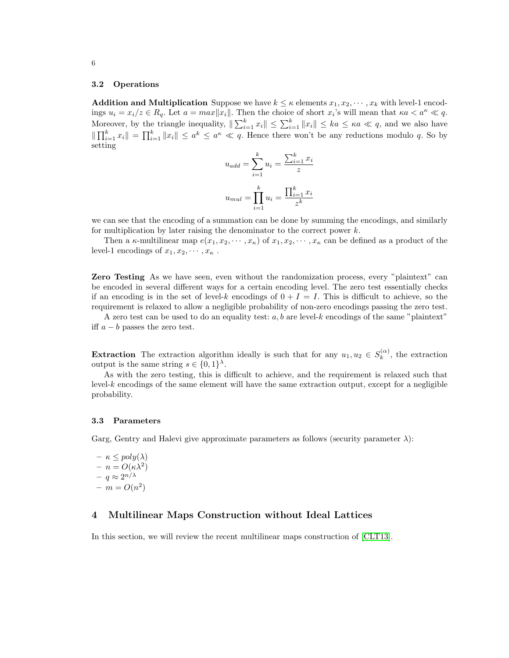#### 3.2 Operations

**Addition and Multiplication** Suppose we have  $k \leq \kappa$  elements  $x_1, x_2, \dots, x_k$  with level-1 encodings  $u_i = x_i/z \in R_q$ . Let  $a = max||x_i||$ . Then the choice of short  $x_i$ 's will mean that  $\kappa a < a^{\kappa} \ll q$ . Moreover, by the triangle inequality,  $\|\sum_{i=1}^k x_i\| \leq \sum_{i=1}^k \|x_i\| \leq ka \leq \kappa a \ll q$ , and we also have  $\|\prod_{i=1}^k x_i\| = \prod_{i=1}^k \|x_i\| \le a^k \le a^k \le q$ . Hence there won't be any reductions modulo q. So by setting

$$
u_{add} = \sum_{i=1}^{k} u_i = \frac{\sum_{i=1}^{k} x_i}{z}
$$

$$
u_{mul} = \prod_{i=1}^{k} u_i = \frac{\prod_{i=1}^{k} x_i}{z^k}
$$

we can see that the encoding of a summation can be done by summing the encodings, and similarly for multiplication by later raising the denominator to the correct power  $k$ .

Then a  $\kappa$ -multilinear map  $e(x_1, x_2, \dots, x_\kappa)$  of  $x_1, x_2, \dots, x_\kappa$  can be defined as a product of the level-1 encodings of  $x_1, x_2, \cdots, x_{\kappa}$ .

Zero Testing As we have seen, even without the randomization process, every "plaintext" can be encoded in several different ways for a certain encoding level. The zero test essentially checks if an encoding is in the set of level-k encodings of  $0 + I = I$ . This is difficult to achieve, so the requirement is relaxed to allow a negligible probability of non-zero encodings passing the zero test.

A zero test can be used to do an equality test:  $a, b$  are level-k encodings of the same "plaintext" iff  $a - b$  passes the zero test.

**Extraction** The extraction algorithm ideally is such that for any  $u_1, u_2 \in S_k^{(\alpha)}$  $\kappa^{(\alpha)}$ , the extraction output is the same string  $s \in \{0,1\}^{\lambda}$ .

As with the zero testing, this is difficult to achieve, and the requirement is relaxed such that  $level-k$  encodings of the same element will have the same extraction output, except for a negligible probability.

### 3.3 Parameters

Garg, Gentry and Halevi give approximate parameters as follows (security parameter λ):

$$
- \kappa \leq poly(\lambda)
$$
  

$$
- n = O(\kappa \lambda^2)
$$
  

$$
- q \approx 2^{n/\lambda}
$$
  

$$
- m = O(n^2)
$$

## 4 Multilinear Maps Construction without Ideal Lattices

In this section, we will review the recent multilinear maps construction of [\[CLT13\]](#page-8-1).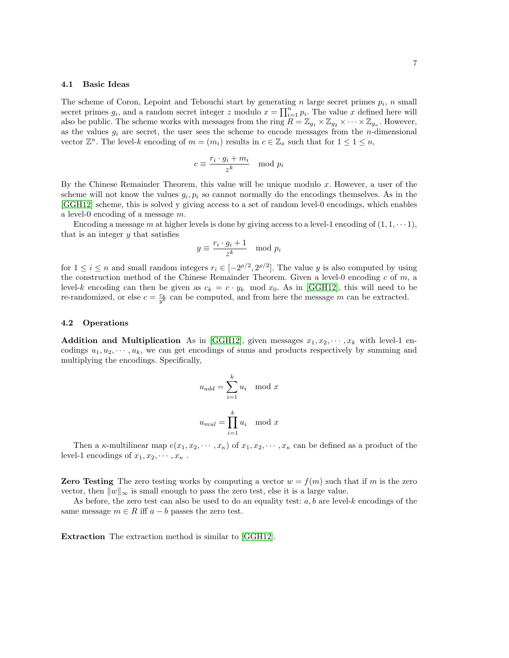#### 4.1 Basic Ideas

The scheme of Coron, Lepoint and Tebouchi start by generating n large secret primes  $p_i$ , n small secret primes  $g_i$ , and a random secret integer z modulo  $x = \prod_{i=1}^n p_i$ . The value x defined here will also be public. The scheme works with messages from the ring  $R = \mathbb{Z}_{g_1} \times \mathbb{Z}_{g_2} \times \cdots \times \mathbb{Z}_{g_n}$ . However, as the values  $g_i$  are secret, the user sees the scheme to encode messages from the *n*-dimensional vector  $\mathbb{Z}^n$ . The level-k encoding of  $m = (m_i)$  results in  $c \in \mathbb{Z}_x$  such that for  $1 \leq 1 \leq n$ ,

$$
c \equiv \frac{r_i \cdot g_i + m_i}{z^k} \mod p_i
$$

By the Chinese Remainder Theorem, this value will be unique modulo  $x$ . However, a user of the scheme will not know the values  $g_i, p_i$  so cannot normally do the encodings themselves. As in the [\[GGH12\]](#page-8-0) scheme, this is solved y giving access to a set of random level-0 encodings, which enables a level-0 encoding of a message  $m$ .

Encoding a message m at higher levels is done by giving access to a level-1 encoding of  $(1, 1, \dots, 1)$ , that is an integer  $\eta$  that satisfies

$$
y \equiv \frac{r_i \cdot g_i + 1}{z^k} \mod p_i
$$

for  $1 \leq i \leq n$  and small random integers  $r_i \in [-2^{\rho/2}, 2^{\rho/2}]$ . The value y is also computed by using the construction method of the Chinese Remainder Theorem. Given a level-0 encoding  $c$  of  $m$ , a level-k encoding can then be given as  $c_k = c \cdot y_k \mod x_0$ . As in [\[GGH12\]](#page-8-0), this will need to be re-randomized, or else  $c = \frac{c_k}{y^k}$  can be computed, and from here the message m can be extracted.

#### 4.2 Operations

**Addition and Multiplication** As in [\[GGH12\]](#page-8-0), given messages  $x_1, x_2, \dots, x_k$  with level-1 encodings  $u_1, u_2, \dots, u_k$ , we can get encodings of sums and products respectively by summing and multiplying the encodings. Specifically,

$$
u_{add} = \sum_{i=1}^{k} u_i \mod x
$$

$$
u_{mul} = \prod_{i=1}^{k} u_i \mod x
$$

Then a  $\kappa$ -multilinear map  $e(x_1, x_2, \dots, x_\kappa)$  of  $x_1, x_2, \dots, x_\kappa$  can be defined as a product of the level-1 encodings of  $x_1, x_2, \cdots, x_{\kappa}$ .

**Zero Testing** The zero testing works by computing a vector  $w = f(m)$  such that if m is the zero vector, then  $||w||_{\infty}$  is small enough to pass the zero test, else it is a large value.

As before, the zero test can also be used to do an equality test:  $a, b$  are level-k encodings of the same message  $m \in R$  iff  $a - b$  passes the zero test.

Extraction The extraction method is similar to [\[GGH12\]](#page-8-0).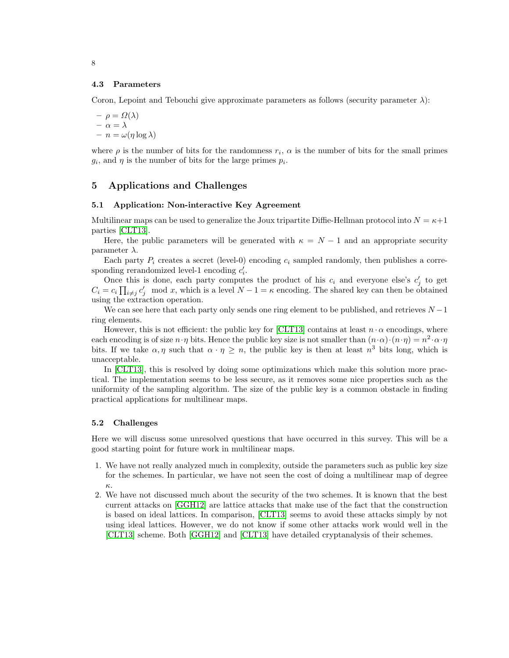#### 4.3 Parameters

Coron, Lepoint and Tebouchi give approximate parameters as follows (security parameter  $\lambda$ ):

$$
- \rho = \Omega(\lambda)
$$
  

$$
- \alpha = \lambda
$$
  

$$
- n = \omega(\eta \log \lambda)
$$

where  $\rho$  is the number of bits for the randomness  $r_i$ ,  $\alpha$  is the number of bits for the small primes  $g_i$ , and  $\eta$  is the number of bits for the large primes  $p_i$ .

## 5 Applications and Challenges

### 5.1 Application: Non-interactive Key Agreement

Multilinear maps can be used to generalize the Joux tripartite Diffie-Hellman protocol into  $N = \kappa + 1$ parties [\[CLT13\]](#page-8-1).

Here, the public parameters will be generated with  $\kappa = N - 1$  and an appropriate security parameter  $\lambda$ .

Each party  $P_i$  creates a secret (level-0) encoding  $c_i$  sampled randomly, then publishes a corresponding rerandomized level-1 encoding  $c_i'$ .

Once this is done, each party computes the product of his  $c_i$  and everyone else's  $c'_j$  to get  $C_i = c_i \prod_{i \neq j} c'_j \mod x$ , which is a level  $N - 1 = \kappa$  encoding. The shared key can then be obtained using the extraction operation.

We can see here that each party only sends one ring element to be published, and retrieves  $N-1$ ring elements.

However, this is not efficient: the public key for [\[CLT13\]](#page-8-1) contains at least  $n \cdot \alpha$  encodings, where each encoding is of size  $n \cdot \eta$  bits. Hence the public key size is not smaller than  $(n \cdot \alpha) \cdot (n \cdot \eta) = n^2 \cdot \alpha \cdot \eta$ bits. If we take  $\alpha, \eta$  such that  $\alpha \cdot \eta \geq n$ , the public key is then at least  $n^3$  bits long, which is unacceptable.

In [\[CLT13\]](#page-8-1), this is resolved by doing some optimizations which make this solution more practical. The implementation seems to be less secure, as it removes some nice properties such as the uniformity of the sampling algorithm. The size of the public key is a common obstacle in finding practical applications for multilinear maps.

#### 5.2 Challenges

Here we will discuss some unresolved questions that have occurred in this survey. This will be a good starting point for future work in multilinear maps.

- 1. We have not really analyzed much in complexity, outside the parameters such as public key size for the schemes. In particular, we have not seen the cost of doing a multilinear map of degree κ.
- 2. We have not discussed much about the security of the two schemes. It is known that the best current attacks on [\[GGH12\]](#page-8-0) are lattice attacks that make use of the fact that the construction is based on ideal lattices. In comparison, [\[CLT13\]](#page-8-1) seems to avoid these attacks simply by not using ideal lattices. However, we do not know if some other attacks work would well in the [\[CLT13\]](#page-8-1) scheme. Both [\[GGH12\]](#page-8-0) and [\[CLT13\]](#page-8-1) have detailed cryptanalysis of their schemes.